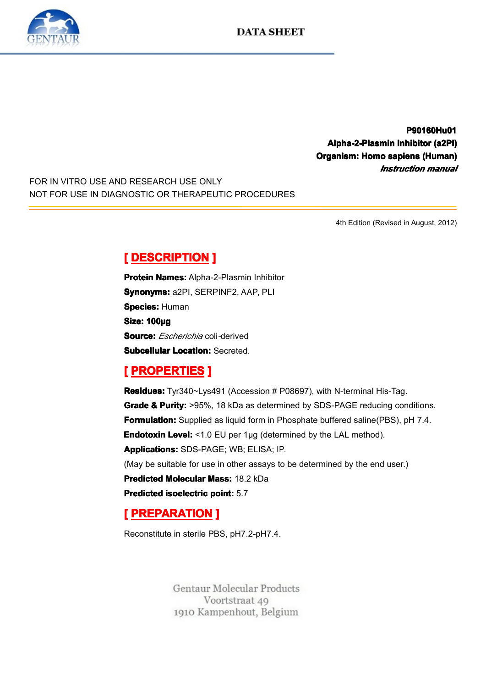

**P90160Hu01 P90160Hu01 Alpha-2-Plasmin Alpha-2-PlasminAlpha-2-Plasmin Inhibitor ha-2-PlasminInhibitorInhibitor (a2PI) ibitor(a2PI) Organism: Homo anism: sapiens <sup>o</sup> (Human) iens(Human)** *Instruction Instruction Instruction manual*

FOR IN VITRO USE AND RESEARCH USE ONLY NOT FOR USE IN DIAGNOSTIC OR THERAPEUTIC PROCEDURES

4th Edition (Revised in August, 2012)

**Experience DESCRIPTION**<br> **Protein Names: Alpha-2**<br> **Synonyms: a2PI, SERF<br>
Species: Human<br>
Size: 100µg<br>
Source:** *Eccharichio* **oo Protein Names:** Alpha-2-Plasmin Inhibitor<br>**Synonyms:** a2PI, SERPINF2, AAP, PLI<br>**Species:** Human<br>**Size: 100µg**<br>Seuree: *Eecherichie* eeli derived **Synonyms:** a2PI, SERPINF2, AAP, PLI<br>**Species:** Human<br>**Size: 100µg**<br>**Source:** *Escherichia* coli-derived<br>**Subcellular Location:** Secreted **Species: Human** Size: 100µg<br>Source: *Esi*<br>Subcellular **Source:** *Escherichia* coli*-*derived

**Subcellular Location:** Secreted.<br> **[PROPERTIES ]**<br> **Residues:** Tyr340~Lys491 (Acce Grade & Purity: >95%, 18 kDa a **Experiment Except PROPERTIES**<br> **Residues:** Tyr340~Lys<br> **Grade & Purity:** >95%<br> **Formulation:** Supplied<br>
Endotoxin Level: <1.0 **Residues:** Tyr340~Lys491 (Accession # P08697), with N-terminal His-Tag.<br> **Grade & Purity:** >95%, 18 kDa as determined by SDS-PAGE reducing cor<br> **Formulation:** Supplied as liquid form in Phosphate buffered saline(PBS), p<br> **Grade & Purity:** >95%, 18 kDa as determined by SDS-PAGE reducing conditions.<br> **Formulation:** Supplied as liquid form in Phosphate buffered saline(PBS), pH 7.4.<br> **Endotoxin Level:** <1.0 EU per 1µg (determined by the LAL me **Formulation:** Supplied as liquid form in Phosphate buffered saline(PBS), pH 7.4.<br>**Endotoxin Level:** <1.0 EU per 1µg (determined by the LAL method).<br>**Applications:** SDS-PAGE; WB; ELISA; IP.<br>(May be suitable for use in othe **Endotoxin Level:** <1.0 EU per 1µg (determined by the LAL method).<br>**Applications:** SDS-PAGE; WB; ELISA; IP.<br>(May be suitable for use in other assays to be determined by the end<br>**Predicted Molecular Mass:** 18.2 kDa **Applications:**SDS-PAGE; WB; ELISA; IP.<br>(May be suitable for use in other assays to<br>**Predicted Molecular Mass:** 18.2 kDa<br>**Predicted isoelectric point:** 5.7 (May be suitable for use in other assays to be determined by the end user.)<br> **Predicted Molecular Mass:** 18.2 kDa<br> **Predicted isoelectric point:** 5.7<br>
[**PREPARATION** ] **Predicted Molecular Mass:** 18.2 kDa<br> **Predicted isoelectric point:** 5.7<br> **[PREPARATION ]**<br>
Reconstitute in sterile PBS, pH7.2-pH **Predicted isoelectric point:** 5.7<br> **[PREPARATION ]**<br>
Reconstitute in sterile PBS, pH7.

# **[ PREPARATION ]**<br>Reconstitute in sterile PB<br>Gentaur M

Reconstitute in sterile PBS, pH7.2-pH7.4.

Voortstraat 49 1910 Kampenhout, Belgium